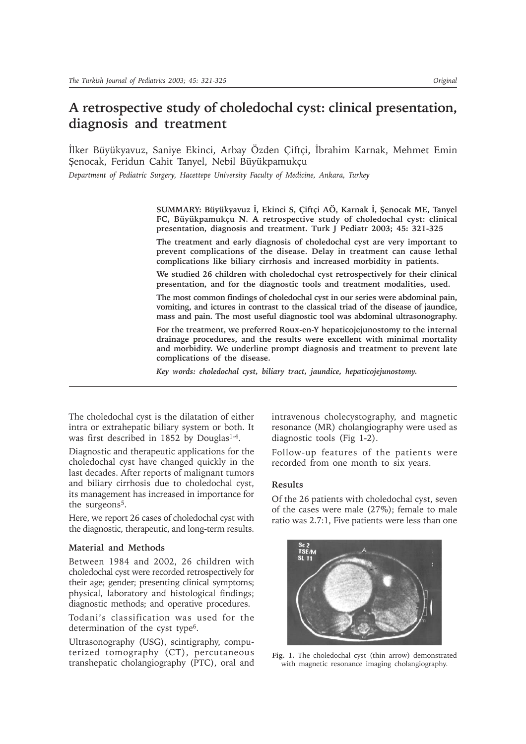# **A retrospective study of choledochal cyst: clinical presentation, diagnosis and treatment**

İlker Büyükyavuz, Saniye Ekinci, Arbay Özden Çiftçi, İbrahim Karnak, Mehmet Emin Şenocak, Feridun Cahit Tanyel, Nebil Büyükpamukçu

*Department of Pediatric Surgery, Hacettepe University Faculty of Medicine, Ankara, Turkey*

**SUMMARY: Büyükyavuz Ý, Ekinci S, Çiftçi AÖ, Karnak Ý, Þenocak ME, Tanyel FC, Büyükpamukçu N. A retrospective study of choledochal cyst: clinical presentation, diagnosis and treatment. Turk J Pediatr 2003; 45: 321-325**

**The treatment and early diagnosis of choledochal cyst are very important to prevent complications of the disease. Delay in treatment can cause lethal complications like biliary cirrhosis and increased morbidity in patients.**

**We studied 26 children with choledochal cyst retrospectively for their clinical presentation, and for the diagnostic tools and treatment modalities, used.**

**The most common findings of choledochal cyst in our series were abdominal pain, vomiting, and ictures in contrast to the classical triad of the disease of jaundice, mass and pain. The most useful diagnostic tool was abdominal ultrasonography.**

**For the treatment, we preferred Roux-en-Y hepaticojejunostomy to the internal drainage procedures, and the results were excellent with minimal mortality and morbidity. We underline prompt diagnosis and treatment to prevent late complications of the disease.**

*Key words: choledochal cyst, biliary tract, jaundice, hepaticojejunostomy.*

The choledochal cyst is the dilatation of either intra or extrahepatic biliary system or both. It was first described in 1852 by Douglas<sup>1-4</sup>.

Diagnostic and therapeutic applications for the choledochal cyst have changed quickly in the last decades. After reports of malignant tumors and biliary cirrhosis due to choledochal cyst, its management has increased in importance for the surgeons<sup>5</sup>.

Here, we report 26 cases of choledochal cyst with the diagnostic, therapeutic, and long-term results.

## **Material and Methods**

Between 1984 and 2002, 26 children with choledochal cyst were recorded retrospectively for their age; gender; presenting clinical symptoms; physical, laboratory and histological findings; diagnostic methods; and operative procedures.

Todani's classification was used for the determination of the cyst type<sup>6</sup>.

Ultrasonography (USG), scintigraphy, computerized tomography (CT), percutaneous transhepatic cholangiography (PTC), oral and intravenous cholecystography, and magnetic resonance (MR) cholangiography were used as diagnostic tools (Fig 1-2).

Follow-up features of the patients were recorded from one month to six years.

### **Results**

Of the 26 patients with choledochal cyst, seven of the cases were male (27%); female to male ratio was 2.7:1, Five patients were less than one



**Fig. 1.** The choledochal cyst (thin arrow) demonstrated with magnetic resonance imaging cholangiography.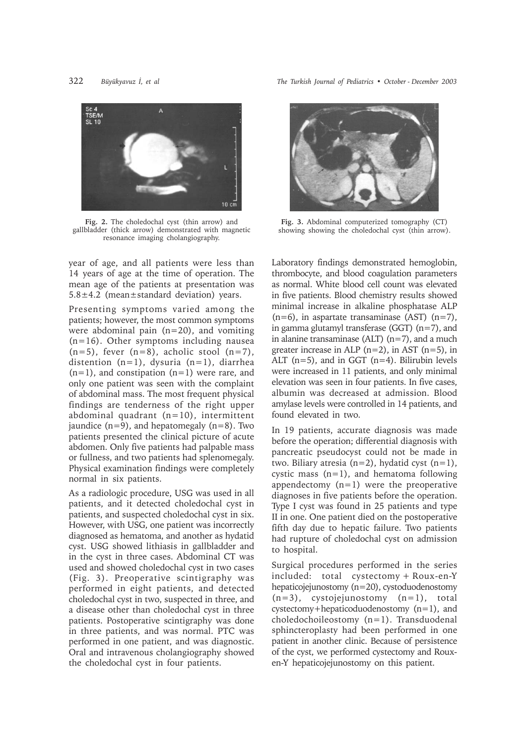

**Fig. 2.** The choledochal cyst (thin arrow) and gallbladder (thick arrow) demonstrated with magnetic resonance imaging cholangiography.

year of age, and all patients were less than 14 years of age at the time of operation. The mean age of the patients at presentation was 5.8±4.2 (mean±standard deviation) years.

Presenting symptoms varied among the patients; however, the most common symptoms were abdominal pain  $(n=20)$ , and vomiting (n=16). Other symptoms including nausea  $(n=5)$ , fever  $(n=8)$ , acholic stool  $(n=7)$ , distention (n=1), dysuria (n=1), diarrhea  $(n=1)$ , and constipation  $(n=1)$  were rare, and only one patient was seen with the complaint of abdominal mass. The most frequent physical findings are tenderness of the right upper abdominal quadrant  $(n=10)$ , intermittent jaundice  $(n=9)$ , and hepatomegaly  $(n=8)$ . Two patients presented the clinical picture of acute abdomen. Only five patients had palpable mass or fullness, and two patients had splenomegaly. Physical examination findings were completely normal in six patients.

As a radiologic procedure, USG was used in all patients, and it detected choledochal cyst in patients, and suspected choledochal cyst in six. However, with USG, one patient was incorrectly diagnosed as hematoma, and another as hydatid cyst. USG showed lithiasis in gallbladder and in the cyst in three cases. Abdominal CT was used and showed choledochal cyst in two cases (Fig. 3). Preoperative scintigraphy was performed in eight patients, and detected choledochal cyst in two, suspected in three, and a disease other than choledochal cyst in three patients. Postoperative scintigraphy was done in three patients, and was normal. PTC was performed in one patient, and was diagnostic. Oral and intravenous cholangiography showed the choledochal cyst in four patients.

322 *Büyükyavuz Ý, et al The Turkish Journal of Pediatrics • October - December 2003*



**Fig. 3.** Abdominal computerized tomography (CT) showing showing the choledochal cyst (thin arrow).

Laboratory findings demonstrated hemoglobin, thrombocyte, and blood coagulation parameters as normal. White blood cell count was elevated in five patients. Blood chemistry results showed minimal increase in alkaline phosphatase ALP  $(n=6)$ , in aspartate transaminase  $(AST)$   $(n=7)$ , in gamma glutamyl transferase (GGT) (n=7), and in alanine transaminase (ALT)  $(n=7)$ , and a much greater increase in ALP  $(n=2)$ , in AST  $(n=5)$ , in ALT (n=5), and in GGT (n=4). Bilirubin levels were increased in 11 patients, and only minimal elevation was seen in four patients. In five cases, albumin was decreased at admission. Blood amylase levels were controlled in 14 patients, and found elevated in two.

In 19 patients, accurate diagnosis was made before the operation; differential diagnosis with pancreatic pseudocyst could not be made in two. Biliary atresia  $(n=2)$ , hydatid cyst  $(n=1)$ , cystic mass (n=1), and hematoma following appendectomy (n=1) were the preoperative diagnoses in five patients before the operation. Type I cyst was found in 25 patients and type II in one. One patient died on the postoperative fifth day due to hepatic failure. Two patients had rupture of choledochal cyst on admission to hospital.

Surgical procedures performed in the series included: total cystectomy + Roux-en-Y hepaticojejunostomy (n=20), cystoduodenostomy  $(n=3)$ , cystojejunostomy  $(n=1)$ , total cystectomy+hepaticoduodenostomy (n=1), and choledochoileostomy (n=1). Transduodenal sphincteroplasty had been performed in one patient in another clinic. Because of persistence of the cyst, we performed cystectomy and Rouxen-Y hepaticojejunostomy on this patient.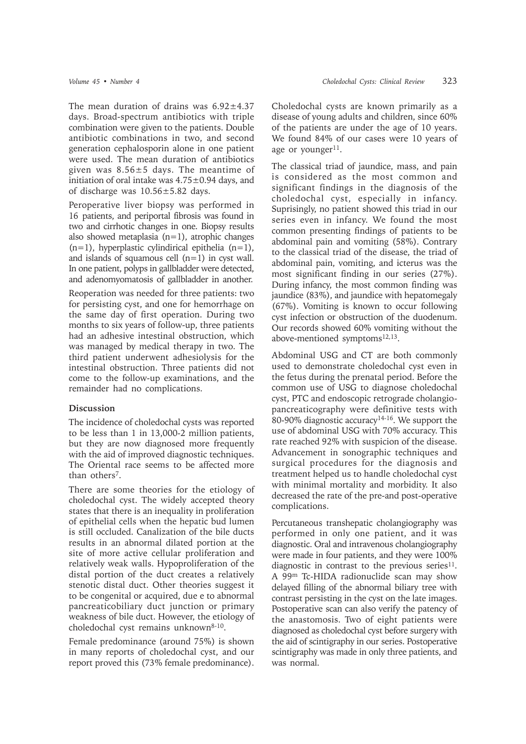The mean duration of drains was  $6.92 \pm 4.37$ days. Broad-spectrum antibiotics with triple combination were given to the patients. Double antibiotic combinations in two, and second generation cephalosporin alone in one patient were used. The mean duration of antibiotics given was 8.56±5 days. The meantime of initiation of oral intake was  $4.75\pm0.94$  days, and of discharge was 10.56±5.82 days.

Peroperative liver biopsy was performed in 16 patients, and periportal fibrosis was found in two and cirrhotic changes in one. Biopsy results also showed metaplasia (n=1), atrophic changes  $(n=1)$ , hyperplastic cylindirical epithelia  $(n=1)$ , and islands of squamous cell  $(n=1)$  in cyst wall. In one patient, polyps in gallbladder were detected, and adenomyomatosis of gallbladder in another.

Reoperation was needed for three patients: two for persisting cyst, and one for hemorrhage on the same day of first operation. During two months to six years of follow-up, three patients had an adhesive intestinal obstruction, which was managed by medical therapy in two. The third patient underwent adhesiolysis for the intestinal obstruction. Three patients did not come to the follow-up examinations, and the remainder had no complications.

#### **Discussion**

The incidence of choledochal cysts was reported to be less than 1 in 13,000-2 million patients, but they are now diagnosed more frequently with the aid of improved diagnostic techniques. The Oriental race seems to be affected more than others<sup>7</sup>.

There are some theories for the etiology of choledochal cyst. The widely accepted theory states that there is an inequality in proliferation of epithelial cells when the hepatic bud lumen is still occluded. Canalization of the bile ducts results in an abnormal dilated portion at the site of more active cellular proliferation and relatively weak walls. Hypoproliferation of the distal portion of the duct creates a relatively stenotic distal duct. Other theories suggest it to be congenital or acquired, due e to abnormal pancreaticobiliary duct junction or primary weakness of bile duct. However, the etiology of choledochal cyst remains unknown8-10.

Female predominance (around 75%) is shown in many reports of choledochal cyst, and our report proved this (73% female predominance). Choledochal cysts are known primarily as a disease of young adults and children, since 60% of the patients are under the age of 10 years. We found 84% of our cases were 10 years of age or younger $11$ .

The classical triad of jaundice, mass, and pain is considered as the most common and significant findings in the diagnosis of the choledochal cyst, especially in infancy. Suprisingly, no patient showed this triad in our series even in infancy. We found the most common presenting findings of patients to be abdominal pain and vomiting (58%). Contrary to the classical triad of the disease, the triad of abdominal pain, vomiting, and icterus was the most significant finding in our series (27%). During infancy, the most common finding was jaundice (83%), and jaundice with hepatomegaly (67%). Vomiting is known to occur following cyst infection or obstruction of the duodenum. Our records showed 60% vomiting without the above-mentioned symptoms<sup>12,13</sup>.

Abdominal USG and CT are both commonly used to demonstrate choledochal cyst even in the fetus during the prenatal period. Before the common use of USG to diagnose choledochal cyst, PTC and endoscopic retrograde cholangiopancreaticography were definitive tests with 80-90% diagnostic accuracy14-16. We support the use of abdominal USG with 70% accuracy. This rate reached 92% with suspicion of the disease. Advancement in sonographic techniques and surgical procedures for the diagnosis and treatment helped us to handle choledochal cyst with minimal mortality and morbidity. It also decreased the rate of the pre-and post-operative complications.

Percutaneous transhepatic cholangiography was performed in only one patient, and it was diagnostic. Oral and intravenous cholangiography were made in four patients, and they were 100% diagnostic in contrast to the previous series $11$ . A 99m Tc-HIDA radionuclide scan may show delayed filling of the abnormal biliary tree with contrast persisting in the cyst on the late images. Postoperative scan can also verify the patency of the anastomosis. Two of eight patients were diagnosed as choledochal cyst before surgery with the aid of scintigraphy in our series. Postoperative scintigraphy was made in only three patients, and was normal.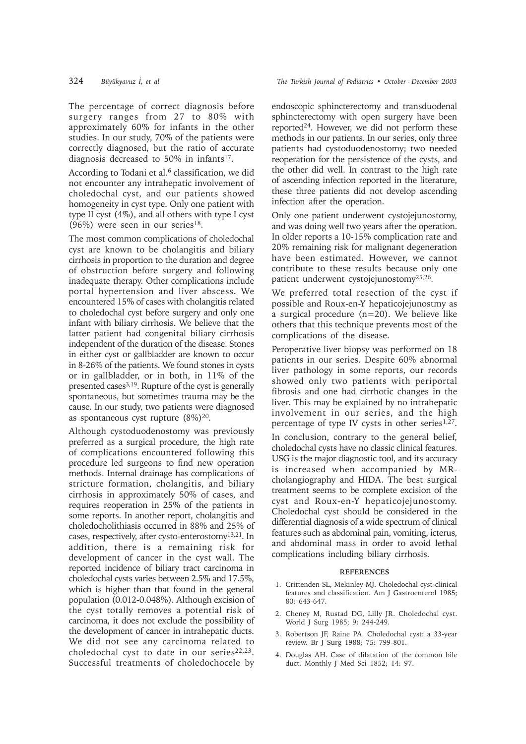The percentage of correct diagnosis before surgery ranges from 27 to 80% with approximately 60% for infants in the other studies. In our study, 70% of the patients were correctly diagnosed, but the ratio of accurate diagnosis decreased to 50% in infants<sup>17</sup>.

According to Todani et al.<sup>6</sup> classification, we did not encounter any intrahepatic involvement of choledochal cyst, and our patients showed homogeneity in cyst type. Only one patient with type II cyst (4%), and all others with type I cyst (96%) were seen in our series<sup>18</sup>.

The most common complications of choledochal cyst are known to be cholangitis and biliary cirrhosis in proportion to the duration and degree of obstruction before surgery and following inadequate therapy. Other complications include portal hypertension and liver abscess. We encountered 15% of cases with cholangitis related to choledochal cyst before surgery and only one infant with biliary cirrhosis. We believe that the latter patient had congenital biliary cirrhosis independent of the duration of the disease. Stones in either cyst or gallbladder are known to occur in 8-26% of the patients. We found stones in cysts or in gallbladder, or in both, in 11% of the presented cases3,19. Rupture of the cyst is generally spontaneous, but sometimes trauma may be the cause. In our study, two patients were diagnosed as spontaneous cyst rupture  $(8\%)^{20}$ .

Although cystoduodenostomy was previously preferred as a surgical procedure, the high rate of complications encountered following this procedure led surgeons to find new operation methods. Internal drainage has complications of stricture formation, cholangitis, and biliary cirrhosis in approximately 50% of cases, and requires reoperation in 25% of the patients in some reports. In another report, cholangitis and choledocholithiasis occurred in 88% and 25% of cases, respectively, after cysto-enterostomy13,21. In addition, there is a remaining risk for development of cancer in the cyst wall. The reported incidence of biliary tract carcinoma in choledochal cysts varies between 2.5% and 17.5%, which is higher than that found in the general population (0.012-0.048%). Although excision of the cyst totally removes a potential risk of carcinoma, it does not exclude the possibility of the development of cancer in intrahepatic ducts. We did not see any carcinoma related to choledochal cyst to date in our series<sup>22,23</sup>. Successful treatments of choledochocele by endoscopic sphincterectomy and transduodenal sphincterectomy with open surgery have been reported24. However, we did not perform these methods in our patients. In our series, only three patients had cystoduodenostomy; two needed reoperation for the persistence of the cysts, and the other did well. In contrast to the high rate of ascending infection reported in the literature, these three patients did not develop ascending infection after the operation.

Only one patient underwent cystojejunostomy, and was doing well two years after the operation. In older reports a 10-15% complication rate and 20% remaining risk for malignant degeneration have been estimated. However, we cannot contribute to these results because only one patient underwent cystojejunostomy25,26.

We preferred total resection of the cyst if possible and Roux-en-Y hepaticojejunostmy as a surgical procedure (n=20). We believe like others that this technique prevents most of the complications of the disease.

Peroperative liver biopsy was performed on 18 patients in our series. Despite 60% abnormal liver pathology in some reports, our records showed only two patients with periportal fibrosis and one had cirrhotic changes in the liver. This may be explained by no intrahepatic involvement in our series, and the high percentage of type IV cysts in other series $1,27$ .

In conclusion, contrary to the general belief, choledochal cysts have no classic clinical features. USG is the major diagnostic tool, and its accuracy is increased when accompanied by MRcholangiography and HIDA. The best surgical treatment seems to be complete excision of the cyst and Roux-en-Y hepaticojejunostomy. Choledochal cyst should be considered in the differential diagnosis of a wide spectrum of clinical features such as abdominal pain, vomiting, icterus, and abdominal mass in order to avoid lethal complications including biliary cirrhosis.

#### **REFERENCES**

- 1. Crittenden SL, Mekinley MJ. Choledochal cyst-clinical features and classification. Am J Gastroenterol 1985; 80: 643-647.
- 2. Cheney M, Rustad DG, Lilly JR. Choledochal cyst. World J Surg 1985; 9: 244-249.
- 3. Robertson JF, Raine PA. Choledochal cyst: a 33-year review. Br J Surg 1988; 75: 799-801.
- 4. Douglas AH. Case of dilatation of the common bile duct. Monthly J Med Sci 1852; 14: 97.